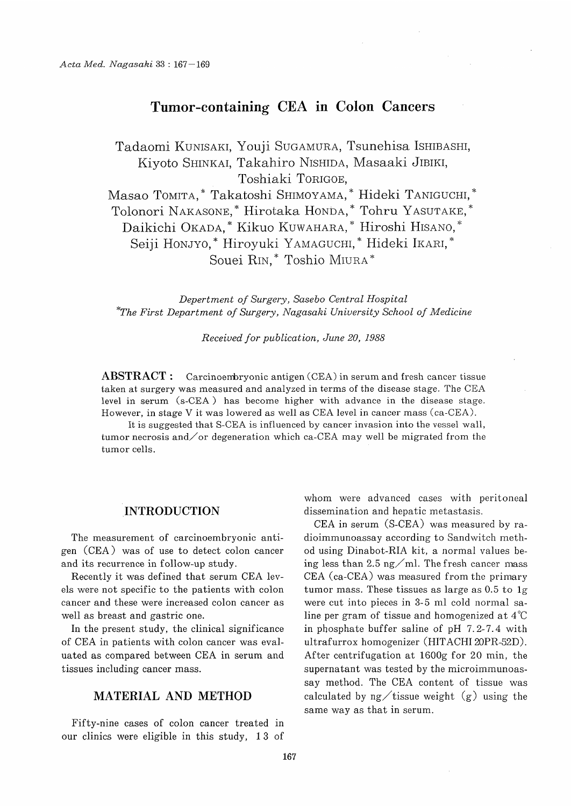# Tumor-containing CEA in Colon Cancers

Tadaomi KUNISAKI, Youji SUGAMURA, Tsunehisa ISHIBASHI, Kiyoto SHINKAI, Takahiro NISHIDA, Masaaki JIBIKI, Toshiaki TORIGOE,

Masao TOMITA, \* Takatoshi SHIMOYAMA, \* Hideki TANIGUCHI, \* Tolonori NAKASONE,\* Hirotaka HONDA,\* Tohru YASUTAKE,\* Daikichi OKADA, \* Kikuo KUWAHARA, \* Hiroshi HISANO,\* Seiji Honjyo,\* Hiroyuki YAMAGUCHI,\* Hideki IKARI,\* Souei RIN, \* Toshio MIURA \*

 Depertment of Surgery, Sasebo Central Hospital \*Th e First Department of Surgery, Nagasaki University School of Medicine

Received for publication, June 20, 1988

ABSTRACT: Carcinoembryonic antigen (CEA) in serum and fresh cancer tissue taken at surgery was measured and analyzed in terms of the disease stage. The CEA level in serum (s-CEA ) has become higher with advance in the disease stage. However, in stage V it was lowered as well as CEA level in cancer mass (ca-CEA).

It is suggested that S-CEA is influenced by cancer invasion into the vessel wall, tumor necrosis and/or degeneration which ca-CEA may well be migrated from the tumor cells.

#### .INTRODUCTION

The measurement of carcinoembryonic antigen (CEA) was of use to detect colon cancer and its recurrence in follow-up study.

Recently it was defined that serum CEA levels were not specific to the patients with colon cancer and these were increased colon cancer as well as breast and gastric one.

In the present study, the clinical significance of CEA in patients with colon cancer was evaluated as compared between CEA in serum and tissues including cancer mass.

## MATERIAL AND METHOD

Fifty-nine cases of colon cancer treated in our clinics were eligible in this study, 13 of

whom were advanced cases with peritoneal dissemination and hepatic metastasis.

CEA in serum (S-CEA) was measured by radioimmunoassay according to Sandwitch method using Dinabot-RIA kit, a normal values being less than 2.5 ng/ml. The fresh cancer mass CEA (ca-CEA) was measured from the primary tumor mass. These tissues as large as 0.5 to 1g were cut into pieces in 3-5 ml cold normal saline per gram of tissue and homogenized at 4°C in phosphate buffer saline of pH 7.2-7.4 with ultrafurrox homogenizer (HITACHI 20PR-52D). After centrifugation at 1600g for 20 min, the supernatant was tested by the microimmunoassay method. The CEA content of tissue was calculated by  $ng/t$  issue weight  $(g)$  using the same way as that in serum.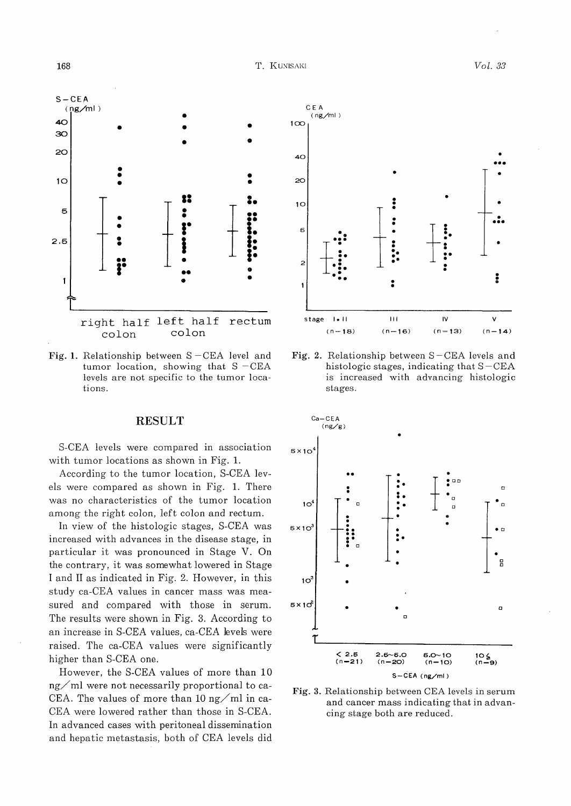

Fig. 1. Relationship between  $S - CEA$  level and tumor location, showing that  $S - CEA$ levels are not specific to the tumor locations.

#### RESULT

S-CEA levels were compared in association with tumor locations as shown in Fig. 1.

According to the tumor location, S-CEA levels were compared as shown in Fig. 1. There was no characteristics of the tumor location among the right colon, left colon and rectum.

In view of the histologic stages, S-CEA was increased with advances in the disease stage, in particular it was pronounced in Stage V. On the contrary, it was somewhat lowered in Stage I and II as indicated in Fig. 2. However, in this study ca-CEA values in cancer mass was measured and compared with those in serum. The results were shown in Fig. 3. According to an increase in S-CEA values, ca-CEA levels were raised. The ca-CEA values were significantly higher than S-CEA one.

However, the S-CEA values of more than 10  $ng/ml$  were not necessarily proportional to ca-CEA. The values of more than 10 ng/ml in ca-CEA were lowered rather than those in S-CEA. In advanced cases with peritoneal dissemination and hepatic metastasis, both of CEA levels did



Fig. 2. Relationship between S-CEA levels and histologic stages, indicating that  $S - CEA$ is increased with advancing histologic stages.



Fig. 3. Relationship between CEA levels in serum and cancer mass indicating that in advancing stage both are reduced.